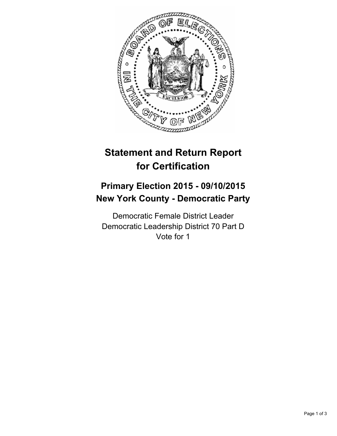

# **Statement and Return Report for Certification**

## **Primary Election 2015 - 09/10/2015 New York County - Democratic Party**

Democratic Female District Leader Democratic Leadership District 70 Part D Vote for 1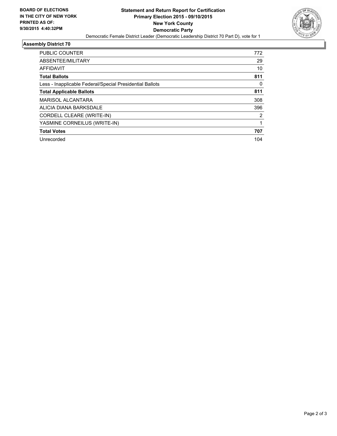

#### **Assembly District 70**

| <b>PUBLIC COUNTER</b>                                    | 772 |
|----------------------------------------------------------|-----|
| ABSENTEE/MILITARY                                        | 29  |
| AFFIDAVIT                                                | 10  |
| <b>Total Ballots</b>                                     | 811 |
| Less - Inapplicable Federal/Special Presidential Ballots | 0   |
| <b>Total Applicable Ballots</b>                          | 811 |
| <b>MARISOL ALCANTARA</b>                                 | 308 |
| ALICIA DIANA BARKSDALE                                   | 396 |
| CORDELL CLEARE (WRITE-IN)                                | 2   |
| YASMINE CORNEILUS (WRITE-IN)                             |     |
| <b>Total Votes</b>                                       | 707 |
| Unrecorded                                               | 104 |